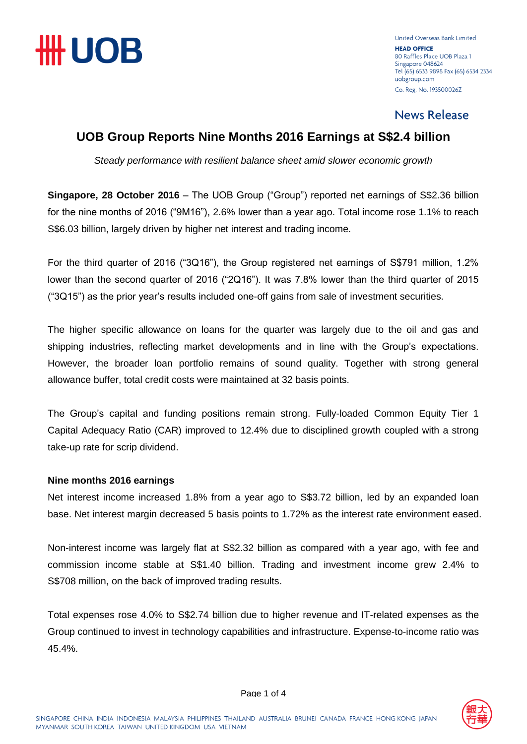

United Overseas Bank Limited **HEAD OFFICE** 80 Raffles Place LIOB Plaza 1 Singapore 048624 Tel (65) 6533 9898 Fax (65) 6534 2334 uobgroup.com Co. Reg. No. 193500026Z

### **News Release**

### **UOB Group Reports Nine Months 2016 Earnings at S\$2.4 billion**

*Steady performance with resilient balance sheet amid slower economic growth*

**Singapore, 28 October 2016** – The UOB Group ("Group") reported net earnings of S\$2.36 billion for the nine months of 2016 ("9M16"), 2.6% lower than a year ago. Total income rose 1.1% to reach S\$6.03 billion, largely driven by higher net interest and trading income.

For the third quarter of 2016 ("3Q16"), the Group registered net earnings of S\$791 million, 1.2% lower than the second quarter of 2016 ("2Q16"). It was 7.8% lower than the third quarter of 2015 ("3Q15") as the prior year's results included one-off gains from sale of investment securities.

The higher specific allowance on loans for the quarter was largely due to the oil and gas and shipping industries, reflecting market developments and in line with the Group's expectations. However, the broader loan portfolio remains of sound quality. Together with strong general allowance buffer, total credit costs were maintained at 32 basis points.

The Group's capital and funding positions remain strong. Fully-loaded Common Equity Tier 1 Capital Adequacy Ratio (CAR) improved to 12.4% due to disciplined growth coupled with a strong take-up rate for scrip dividend.

#### **Nine months 2016 earnings**

Net interest income increased 1.8% from a year ago to S\$3.72 billion, led by an expanded loan base. Net interest margin decreased 5 basis points to 1.72% as the interest rate environment eased.

Non-interest income was largely flat at S\$2.32 billion as compared with a year ago, with fee and commission income stable at S\$1.40 billion. Trading and investment income grew 2.4% to S\$708 million, on the back of improved trading results.

Total expenses rose 4.0% to S\$2.74 billion due to higher revenue and IT-related expenses as the Group continued to invest in technology capabilities and infrastructure. Expense-to-income ratio was 45.4%.

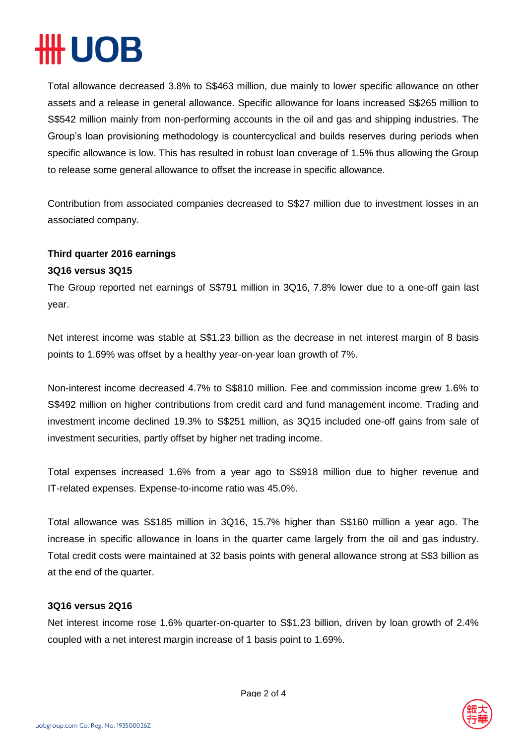## **HUOB**

Total allowance decreased 3.8% to S\$463 million, due mainly to lower specific allowance on other assets and a release in general allowance. Specific allowance for loans increased S\$265 million to S\$542 million mainly from non-performing accounts in the oil and gas and shipping industries. The Group's loan provisioning methodology is countercyclical and builds reserves during periods when specific allowance is low. This has resulted in robust loan coverage of 1.5% thus allowing the Group to release some general allowance to offset the increase in specific allowance.

Contribution from associated companies decreased to S\$27 million due to investment losses in an associated company.

### **Third quarter 2016 earnings**

#### **3Q16 versus 3Q15**

The Group reported net earnings of S\$791 million in 3Q16, 7.8% lower due to a one-off gain last year.

Net interest income was stable at S\$1.23 billion as the decrease in net interest margin of 8 basis points to 1.69% was offset by a healthy year-on-year loan growth of 7%.

Non-interest income decreased 4.7% to S\$810 million. Fee and commission income grew 1.6% to S\$492 million on higher contributions from credit card and fund management income. Trading and investment income declined 19.3% to S\$251 million, as 3Q15 included one-off gains from sale of investment securities, partly offset by higher net trading income.

Total expenses increased 1.6% from a year ago to S\$918 million due to higher revenue and IT-related expenses. Expense-to-income ratio was 45.0%.

Total allowance was S\$185 million in 3Q16, 15.7% higher than S\$160 million a year ago. The increase in specific allowance in loans in the quarter came largely from the oil and gas industry. Total credit costs were maintained at 32 basis points with general allowance strong at S\$3 billion as at the end of the quarter.

#### **3Q16 versus 2Q16**

Net interest income rose 1.6% quarter-on-quarter to S\$1.23 billion, driven by loan growth of 2.4% coupled with a net interest margin increase of 1 basis point to 1.69%.

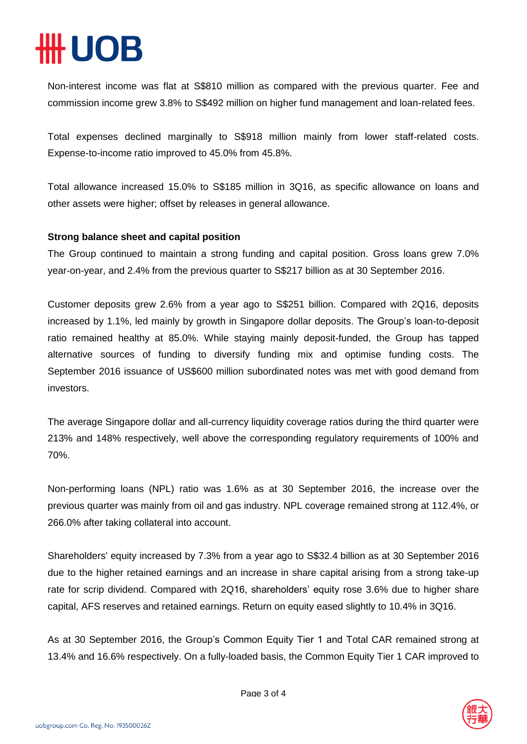# **UOB**

Non-interest income was flat at S\$810 million as compared with the previous quarter. Fee and commission income grew 3.8% to S\$492 million on higher fund management and loan-related fees.

Total expenses declined marginally to S\$918 million mainly from lower staff-related costs. Expense-to-income ratio improved to 45.0% from 45.8%.

Total allowance increased 15.0% to S\$185 million in 3Q16, as specific allowance on loans and other assets were higher; offset by releases in general allowance.

#### **Strong balance sheet and capital position**

The Group continued to maintain a strong funding and capital position. Gross loans grew 7.0% year-on-year, and 2.4% from the previous quarter to S\$217 billion as at 30 September 2016.

Customer deposits grew 2.6% from a year ago to S\$251 billion. Compared with 2Q16, deposits increased by 1.1%, led mainly by growth in Singapore dollar deposits. The Group's loan-to-deposit ratio remained healthy at 85.0%. While staying mainly deposit-funded, the Group has tapped alternative sources of funding to diversify funding mix and optimise funding costs. The September 2016 issuance of US\$600 million subordinated notes was met with good demand from investors.

The average Singapore dollar and all-currency liquidity coverage ratios during the third quarter were 213% and 148% respectively, well above the corresponding regulatory requirements of 100% and 70%.

Non-performing loans (NPL) ratio was 1.6% as at 30 September 2016, the increase over the previous quarter was mainly from oil and gas industry. NPL coverage remained strong at 112.4%, or 266.0% after taking collateral into account.

Shareholders' equity increased by 7.3% from a year ago to S\$32.4 billion as at 30 September 2016 due to the higher retained earnings and an increase in share capital arising from a strong take-up rate for scrip dividend. Compared with 2Q16, shareholders' equity rose 3.6% due to higher share capital, AFS reserves and retained earnings. Return on equity eased slightly to 10.4% in 3Q16.

As at 30 September 2016, the Group's Common Equity Tier 1 and Total CAR remained strong at 13.4% and 16.6% respectively. On a fully-loaded basis, the Common Equity Tier 1 CAR improved to